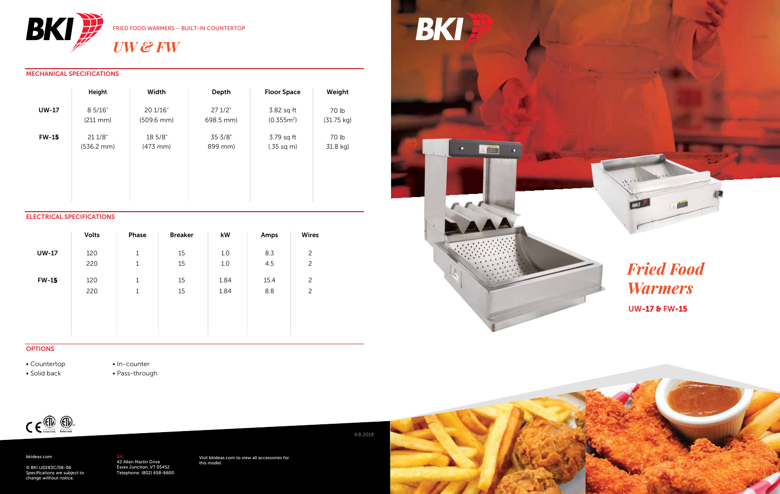

### MECHANICAL SPECIFICATIONS

|              | Height               | Width                  | Depth     | <b>Floor Space</b>   | Weight               |
|--------------|----------------------|------------------------|-----------|----------------------|----------------------|
| <b>UW-17</b> | 8 5/16"              | 20 1/16"               | 271/2"    | 3.82 sq ft           | 70 lb                |
|              | $(211 \text{ mm})$   | $(509.6 \, \text{mm})$ | 698.5 mm) | $(0.355m^2)$         | $(31.75 \text{ kg})$ |
| <b>FW-15</b> | 211/8"               | 18 5/8"                | 35 3/8"   | 3.79 sq ft           | 70 lb                |
|              | $(536.2 \text{ mm})$ | $(473$ mm $)$          | 899 mm)   | $(.35 \text{ sq m})$ | 31.8 kg)             |

#### ELECTRICAL SPECIFICATIONS

|              | <b>Volts</b> | Phase       | <b>Breaker</b> | kW   | Amps | <b>Wires</b>   |
|--------------|--------------|-------------|----------------|------|------|----------------|
| <b>UW-17</b> | 120          | 1           | 15             | 1.0  | 8.3  | $\overline{c}$ |
|              | 220          | $\mathbf 1$ | 15             | 1.0  | 4.5  | 2              |
| <b>FW-15</b> | 120          | 1           | 15             | 1.84 | 15.4 | 2              |
|              | 220          | 1           | 15             | 1.84 | 8.8  | 2              |
|              |              |             |                |      |      |                |
|              |              |             |                |      |      |                |
|              |              |             |                |      |      |                |



#### **OPTIONS**

• Countertop

• Solid back

• In-counter • Pass-through



#### bkideas.com

© BKI LI0283C/08-06 Specifications are subject to change without notice.

<mark>BKI</mark><br>42 Allen Martin Drive<br>Essex Junction, VT 05452<br>Telephone: (802) 658-6600

Visit bkideas.com to view all accessories for this model.